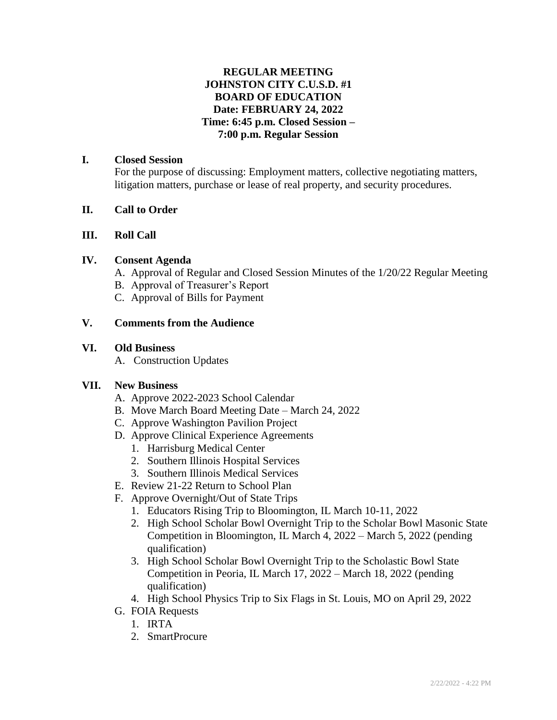### **REGULAR MEETING JOHNSTON CITY C.U.S.D. #1 BOARD OF EDUCATION Date: FEBRUARY 24, 2022 Time: 6:45 p.m. Closed Session – 7:00 p.m. Regular Session**

#### **I. Closed Session**

For the purpose of discussing: Employment matters, collective negotiating matters, litigation matters, purchase or lease of real property, and security procedures.

### **II. Call to Order**

#### **III. Roll Call**

#### **IV. Consent Agenda**

- A. Approval of Regular and Closed Session Minutes of the 1/20/22 Regular Meeting
- B. Approval of Treasurer's Report
- C. Approval of Bills for Payment

### **V. Comments from the Audience**

#### **VI. Old Business**

A. Construction Updates

### **VII. New Business**

- A. Approve 2022-2023 School Calendar
- B. Move March Board Meeting Date March 24, 2022
- C. Approve Washington Pavilion Project
- D. Approve Clinical Experience Agreements
	- 1. Harrisburg Medical Center
	- 2. Southern Illinois Hospital Services
	- 3. Southern Illinois Medical Services
- E. Review 21-22 Return to School Plan
- F. Approve Overnight/Out of State Trips
	- 1. Educators Rising Trip to Bloomington, IL March 10-11, 2022
	- 2. High School Scholar Bowl Overnight Trip to the Scholar Bowl Masonic State Competition in Bloomington, IL March 4, 2022 – March 5, 2022 (pending qualification)
	- 3. High School Scholar Bowl Overnight Trip to the Scholastic Bowl State Competition in Peoria, IL March 17, 2022 – March 18, 2022 (pending qualification)
	- 4. High School Physics Trip to Six Flags in St. Louis, MO on April 29, 2022
- G. FOIA Requests
	- 1. IRTA
	- 2. SmartProcure